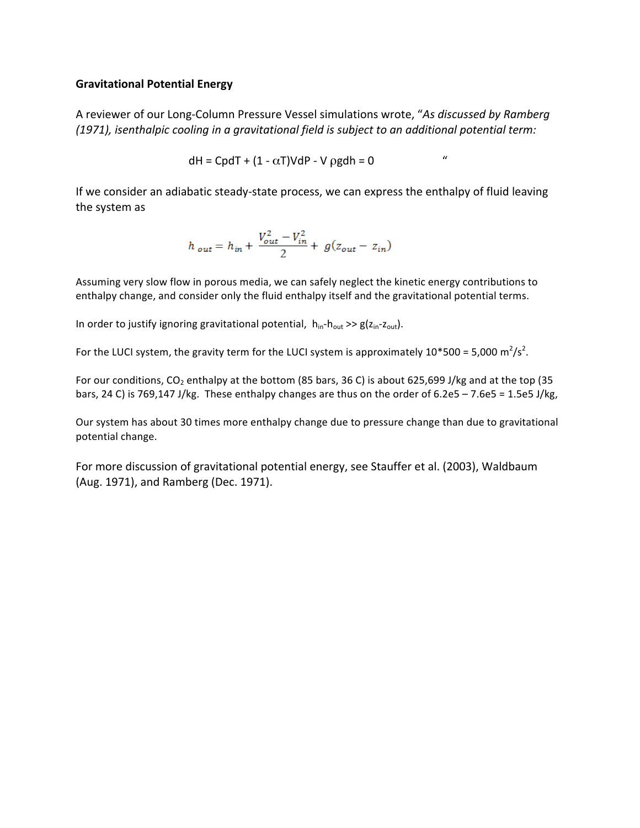## **Gravitational Potential Energy**

A reviewer of our Long-Column Pressure Vessel simulations wrote, "As discussed by Ramberg *(1971), isenthalpic cooling in a gravitational field is subject to an additional potential term:* 

$$
dH = CpdT + (1 - \alpha T)VdP - V \text{ \qquad } = 0
$$

If we consider an adiabatic steady-state process, we can express the enthalpy of fluid leaving the system as

$$
h_{out} = h_{in} + \frac{V_{out}^2 - V_{in}^2}{2} + g(z_{out} - z_{in})
$$

Assuming very slow flow in porous media, we can safely neglect the kinetic energy contributions to enthalpy change, and consider only the fluid enthalpy itself and the gravitational potential terms.

In order to justify ignoring gravitational potential,  $h_{in}-h_{out} \gg g(z_{in}-z_{out})$ .

For the LUCI system, the gravity term for the LUCI system is approximately 10\*500 = 5,000 m<sup>2</sup>/s<sup>2</sup>.

For our conditions,  $CO_2$  enthalpy at the bottom (85 bars, 36 C) is about 625,699 J/kg and at the top (35 bars, 24 C) is 769,147 J/kg. These enthalpy changes are thus on the order of  $6.2e5 - 7.6e5 = 1.5e5$  J/kg,

Our system has about 30 times more enthalpy change due to pressure change than due to gravitational potential change.

For more discussion of gravitational potential energy, see Stauffer et al. (2003), Waldbaum (Aug. 1971), and Ramberg (Dec. 1971).